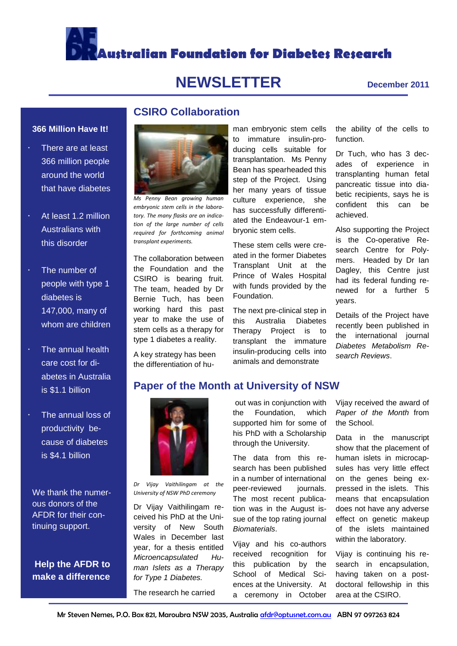

# **NEWSLETTER December <sup>2011</sup>**

#### **366 Million Have It!**

- There are at least 366 million people around the world that have diabetes
- At least 1.2 million Australians with this disorder
- The number of people with type 1 diabetes is 147,000, many of whom are children
- The annual health care cost for diabetes in Australia is \$1.1 billion
- The annual loss of productivity because of diabetes is \$4.1 billion

We thank the numerous donors of the AFDR for their continuing support.

#### **Help the AFDR to make a difference**



**CSIRO Collaboration**

*Ms Penny Bean growing human embryonic stem cells in the laboratory. The many flasks are an indication of the large number of cells required for forthcoming animal transplant experiments.* 

The collaboration between the Foundation and the CSIRO is bearing fruit. The team, headed by Dr Bernie Tuch, has been working hard this past year to make the use of stem cells as a therapy for type 1 diabetes a reality.

A key strategy has been the differentiation of hu-

man embryonic stem cells to immature insulin-producing cells suitable for transplantation. Ms Penny Bean has spearheaded this step of the Project. Using her many years of tissue culture experience, she has successfully differentiated the Endeavour-1 embryonic stem cells.

These stem cells were created in the former Diabetes Transplant Unit at the Prince of Wales Hospital with funds provided by the Foundation.

The next pre-clinical step in this Australia Diabetes Therapy Project is to transplant the immature insulin-producing cells into animals and demonstrate

the ability of the cells to function.

Dr Tuch, who has 3 decades of experience in transplanting human fetal pancreatic tissue into diabetic recipients, says he is confident this can be achieved.

Also supporting the Project is the Co-operative Research Centre for Polymers. Headed by Dr Ian Dagley, this Centre just had its federal funding renewed for a further 5 years.

Details of the Project have recently been published in the international journal *Diabetes Metabolism Research Reviews*.

#### **Paper of the Month at University of NSW**



*Dr Vijay Vaithilingam at the University of NSW PhD ceremony* 

Dr Vijay Vaithilingam received his PhD at the University of New South Wales in December last year, for a thesis entitled *Microencapsulated Human Islets as a Therapy for Type 1 Diabetes.*

The research he carried

out was in conjunction with the Foundation, which supported him for some of his PhD with a Scholarship through the University.

The data from this research has been published in a number of international peer-reviewed journals. The most recent publication was in the August issue of the top rating journal *Biomaterials*.

Vijay and his co-authors received recognition for this publication by the School of Medical Sciences at the University. At a ceremony in October

Vijay received the award of *Paper of the Month* from the School.

Data in the manuscript show that the placement of human islets in microcapsules has very little effect on the genes being expressed in the islets. This means that encapsulation does not have any adverse effect on genetic makeup of the islets maintained within the laboratory.

Vijay is continuing his research in encapsulation, having taken on a postdoctoral fellowship in this area at the CSIRO.